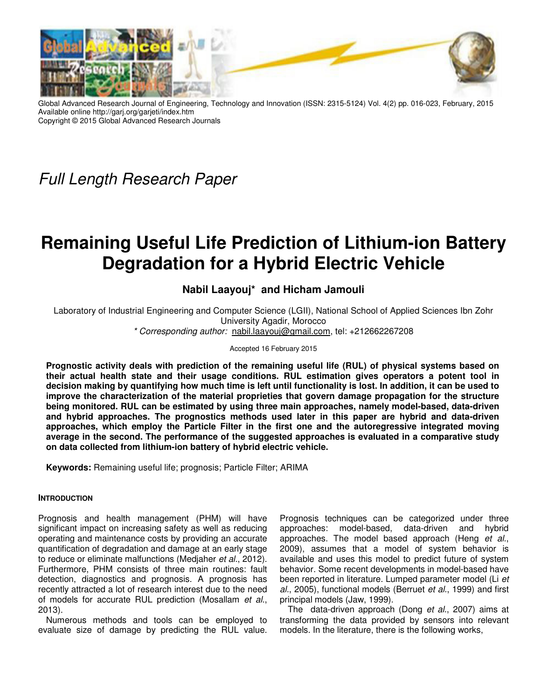

Global Advanced Research Journal of Engineering, Technology and Innovation (ISSN: 2315-5124) Vol. 4(2) pp. 016-023, February, 2015 Available online http://garj.org/garjeti/index.htm Copyright © 2015 Global Advanced Research Journals

*Full Length Research Paper*

# **Remaining Useful Life Prediction of Lithium-ion Battery Degradation for a Hybrid Electric Vehicle**

# **Nabil Laayouj\* and Hicham Jamouli**

Laboratory of Industrial Engineering and Computer Science (LGII), National School of Applied Sciences Ibn Zohr University Agadir, Morocco

*\* Corresponding author:* nabil.laayouj@gmail.com, tel: +212662267208

#### Accepted 16 February 2015

**Prognostic activity deals with prediction of the remaining useful life (RUL) of physical systems based on their actual health state and their usage conditions. RUL estimation gives operators a potent tool in decision making by quantifying how much time is left until functionality is lost. In addition, it can be used to improve the characterization of the material proprieties that govern damage propagation for the structure being monitored. RUL can be estimated by using three main approaches, namely model-based, data-driven and hybrid approaches. The prognostics methods used later in this paper are hybrid and data-driven approaches, which employ the Particle Filter in the first one and the autoregressive integrated moving average in the second. The performance of the suggested approaches is evaluated in a comparative study on data collected from lithium-ion battery of hybrid electric vehicle.** 

**Keywords:** Remaining useful life; prognosis; Particle Filter; ARIMA

## **INTRODUCTION**

Prognosis and health management (PHM) will have significant impact on increasing safety as well as reducing operating and maintenance costs by providing an accurate quantification of degradation and damage at an early stage to reduce or eliminate malfunctions (Medjaher *et al.*, 2012). Furthermore, PHM consists of three main routines: fault detection, diagnostics and prognosis. A prognosis has recently attracted a lot of research interest due to the need of models for accurate RUL prediction (Mosallam *et al.*, 2013).

Numerous methods and tools can be employed to evaluate size of damage by predicting the RUL value.

Prognosis techniques can be categorized under three approaches: model-based, data-driven and hybrid approaches. The model based approach (Heng *et al.*, 2009), assumes that a model of system behavior is available and uses this model to predict future of system behavior. Some recent developments in model-based have been reported in literature. Lumped parameter model (Li *et al.*, 2005), functional models (Berruet *et al.*, 1999) and first principal models (Jaw, 1999).

The data-driven approach (Dong *et al.*, 2007) aims at transforming the data provided by sensors into relevant models. In the literature, there is the following works,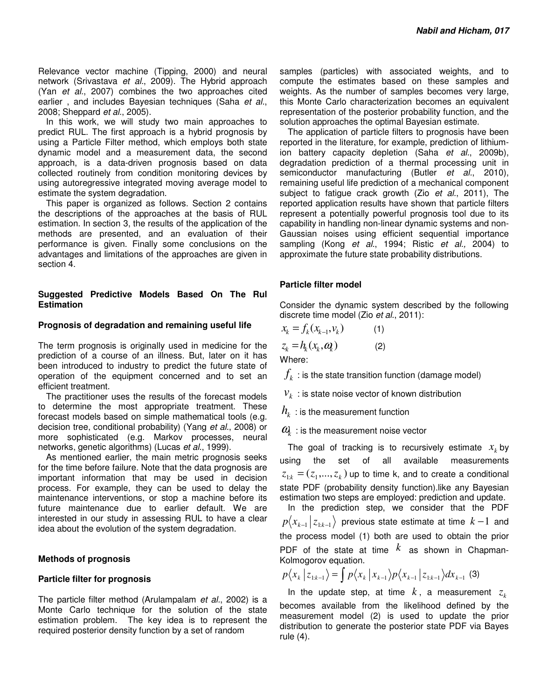Relevance vector machine (Tipping, 2000) and neural network (Srivastava *et al.*, 2009). The Hybrid approach (Yan *et al.*, 2007) combines the two approaches cited earlier , and includes Bayesian techniques (Saha *et al.*, 2008; Sheppard *et al.*, 2005).

In this work, we will study two main approaches to predict RUL. The first approach is a hybrid prognosis by using a Particle Filter method, which employs both state dynamic model and a measurement data, the second approach, is a data-driven prognosis based on data collected routinely from condition monitoring devices by using autoregressive integrated moving average model to estimate the system degradation.

This paper is organized as follows. Section 2 contains the descriptions of the approaches at the basis of RUL estimation. In section 3, the results of the application of the methods are presented, and an evaluation of their performance is given. Finally some conclusions on the advantages and limitations of the approaches are given in section 4.

#### **Suggested Predictive Models Based On The Rul Estimation**

#### **Prognosis of degradation and remaining useful life**

The term prognosis is originally used in medicine for the prediction of a course of an illness. But, later on it has been introduced to industry to predict the future state of operation of the equipment concerned and to set an efficient treatment.

The practitioner uses the results of the forecast models to determine the most appropriate treatment. These forecast models based on simple mathematical tools (e.g. decision tree, conditional probability) (Yang *et al.*, 2008) or more sophisticated (e.g. Markov processes, neural networks, genetic algorithms) (Lucas *et al.*, 1999).

As mentioned earlier, the main metric prognosis seeks for the time before failure. Note that the data prognosis are important information that may be used in decision process. For example, they can be used to delay the maintenance interventions, or stop a machine before its future maintenance due to earlier default. We are interested in our study in assessing RUL to have a clear idea about the evolution of the system degradation.

## **Methods of prognosis**

#### **Particle filter for prognosis**

The particle filter method (Arulampalam *et al.*, 2002) is a Monte Carlo technique for the solution of the state estimation problem. The key idea is to represent the required posterior density function by a set of random

samples (particles) with associated weights, and to compute the estimates based on these samples and weights. As the number of samples becomes very large, this Monte Carlo characterization becomes an equivalent representation of the posterior probability function, and the solution approaches the optimal Bayesian estimate.

The application of particle filters to prognosis have been reported in the literature, for example, prediction of lithiumion battery capacity depletion (Saha *et al.*, 2009b), degradation prediction of a thermal processing unit in semiconductor manufacturing (Butler *et al.*, 2010), remaining useful life prediction of a mechanical component subject to fatigue crack growth (Zio *et al.*, 2011), The reported application results have shown that particle filters represent a potentially powerful prognosis tool due to its capability in handling non-linear dynamic systems and non-Gaussian noises using efficient sequential importance sampling (Kong *et al.*, 1994; Ristic *et al.,* 2004) to approximate the future state probability distributions.

## **Particle filter model**

Consider the dynamic system described by the following discrete time model (Zio *et al.*, 2011):

$$
x_k = f_k(x_{k-1}, v_k)
$$
  
\n
$$
z_k = h_k(x_k, a_k)
$$
\n(1)  
\n(2)

Where:

 $f_{\scriptscriptstyle{k}}^{}$  : is the state transition function (damage model)

 $v_k$ : is state noise vector of known distribution

 $h_{\!\scriptscriptstyle k}^{\phantom i}$  : is the measurement function

 $\textit{\textbf{u}}_{\textit{k}}^{\textit{k}}$  : is the measurement noise vector

The goal of tracking is to recursively estimate  $x_k$  by using the set of all available measurements  $z_{1:k} = (z_1, ..., z_k)$  up to time k, and to create a conditional state PDF (probability density function). like any Bayesian estimation two steps are employed: prediction and update.

In the prediction step, we consider that the PDF  $p\langle x_{k-1} | z_{1:k-1} \rangle$  previous state estimate at time  $k-1$  and the process model (1) both are used to obtain the prior PDF of the state at time  $k$  as shown in Chapman-Kolmogorov equation.

$$
p\langle x_k | z_{1:k-1} \rangle = \int p\langle x_k | x_{k-1} \rangle p\langle x_{k-1} | z_{1:k-1} \rangle dx_{k-1}
$$
 (3)

In the update step, at time  $k$ , a measurement  $z_k$ becomes available from the likelihood defined by the measurement model (2) is used to update the prior distribution to generate the posterior state PDF via Bayes rule (4).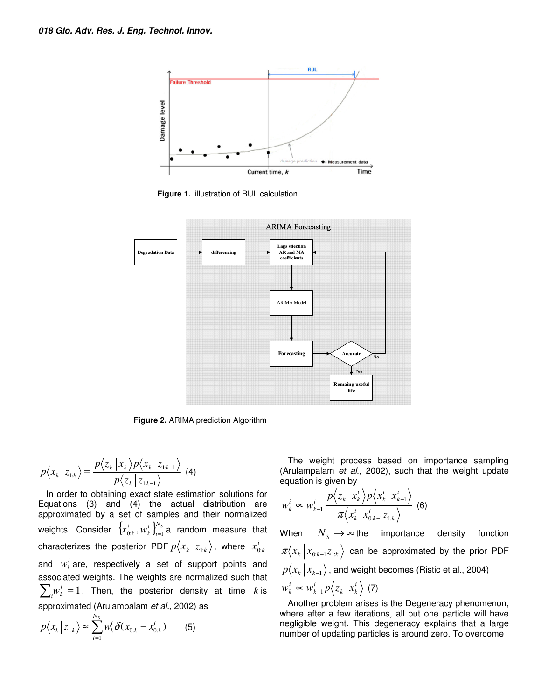

**Figure 1.** illustration of RUL calculation



**Figure 2.** ARIMA prediction Algorithm

$$
p\langle x_k | z_{1:k} \rangle = \frac{p\langle z_k | x_k \rangle p\langle x_k | z_{1:k-1} \rangle}{p\langle z_k | z_{1:k-1} \rangle} \tag{4}
$$

In order to obtaining exact state estimation solutions for Equations (3) and (4) the actual distribution are approximated by a set of samples and their normalized weights. Consider  $\left\{ x_{0:k}^i\, , w_k^i \right\}_{i=1}^{N_S}$ *i*  $x_{0:k}^i$ ,  $w_k^i$   $\int_{i=1}^{N_s}$  a random measure that characterizes the posterior PDF  $p\big\langle x_{_{k}}\,\big|\,z_{_{1:k}}\big\rangle,$  where  $\,x_{0:k}^{i}\,$ and  $w_k^i$  are, respectively a set of support points and associated weights. The weights are normalized such that  $\sum_{i} w_{k}^{i} = 1$ . Then, the posterior density at time *k* is approximated (Arulampalam *et al.*, 2002) as

$$
p\langle x_k | z_{1:k} \rangle \approx \sum_{i=1}^{N_s} w_k^i \delta(x_{0:k} - x_{0:k}^i)
$$
 (5)

The weight process based on importance sampling (Arulampalam *et al.*, 2002), such that the weight update equation is given by

$$
w_k^i \propto w_{k-1}^i \frac{p\left\langle z_k \left| x_k^i \right\rangle p\left\langle x_k^i \left| x_{k-1}^i \right\rangle \right.}{\pi\left\langle x_k^i \left| x_{0:k-1}^i z_{1:k} \right\rangle} \right. \tag{6}
$$

When  $N_s \to \infty$  the importance density function  $\pi\langle x_{k} | x_{0:k-1}z_{1:k} \rangle$  can be approximated by the prior PDF  $p\langle x_k | x_{k-1} \rangle$ , and weight becomes (Ristic et al., 2004) *i*  $k \mid \mathcal{X}_k$ *i k*  $w_k^i \propto w_{k-1}^i p \langle z_k | x_k^i \rangle$  (7)

Another problem arises is the Degeneracy phenomenon, where after a few iterations, all but one particle will have negligible weight. This degeneracy explains that a large number of updating particles is around zero. To overcome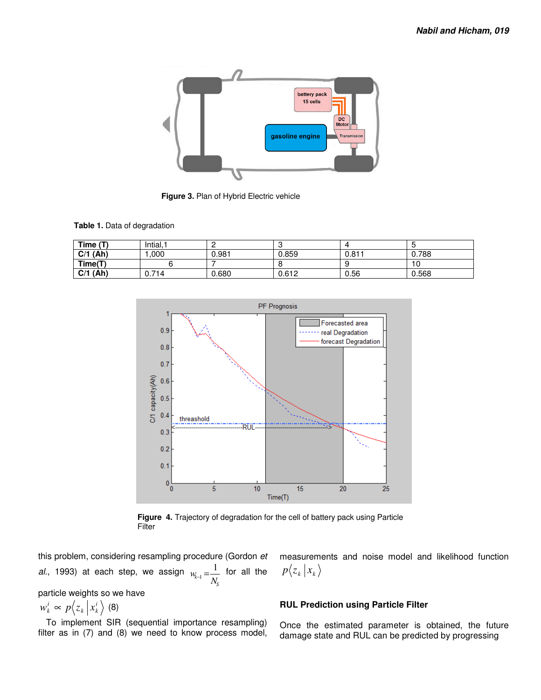

**Figure 3.** Plan of Hybrid Electric vehicle

**Table 1.** Data of degradation

| Time $(T)$ | Intial, | -     |       |       |       |
|------------|---------|-------|-------|-------|-------|
| $C/1$ (Ah) | .000    | 0.981 | 0.859 | 0.811 | 0.788 |
| Time(T)    |         |       |       |       | 10    |
| $C/1$ (Ah) | 0.714   | 0.680 | 0.612 | 0.56  | 0.568 |



**Figure 4.** Trajectory of degradation for the cell of battery pack using Particle Filter

this problem, considering resampling procedure (Gordon *et al.*, 1993) at each step, we assign *S k N*  $w_{k-1} = \frac{1}{N}$  for all the

particle weights so we have

*i*  $k \mid \mathcal{X}_k$  $w_k^i \propto p \langle z_k | x_k^i \rangle$  (8)

To implement SIR (sequential importance resampling) filter as in (7) and (8) we need to know process model, measurements and noise model and likelihood function  $p\langle z_k | x_k$ 

#### **RUL Prediction using Particle Filter**

Once the estimated parameter is obtained, the future damage state and RUL can be predicted by progressing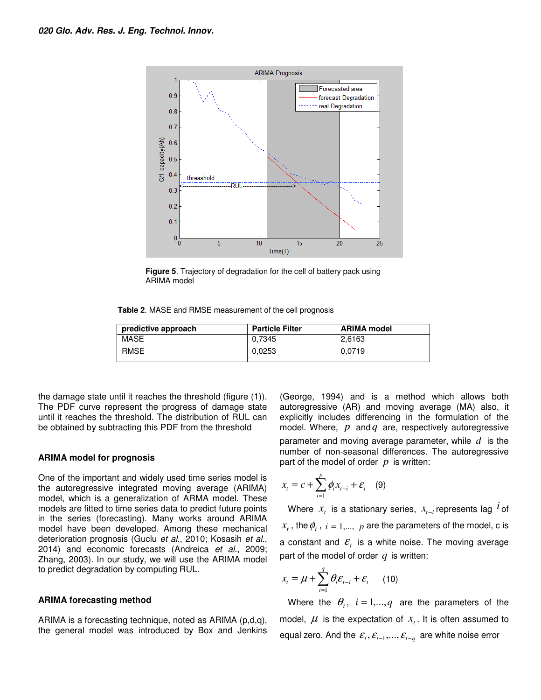

**Figure 5**. Trajectory of degradation for the cell of battery pack using ARIMA model

**Table 2**. MASE and RMSE measurement of the cell prognosis

| predictive approach | <b>Particle Filter</b> | <b>ARIMA model</b> |
|---------------------|------------------------|--------------------|
| MASE                | 0.7345                 | 2.6163             |
| <b>RMSE</b>         | 0.0253                 | 0.0719             |

the damage state until it reaches the threshold (figure (1)). The PDF curve represent the progress of damage state until it reaches the threshold. The distribution of RUL can be obtained by subtracting this PDF from the threshold

#### **ARIMA model for prognosis**

One of the important and widely used time series model is the autoregressive integrated moving average (ARIMA) model, which is a generalization of ARMA model. These models are fitted to time series data to predict future points in the series (forecasting). Many works around ARIMA model have been developed. Among these mechanical deterioration prognosis (Guclu *et al.*, 2010; Kosasih *et al.*, 2014) and economic forecasts (Andreica *et al.*, 2009; Zhang, 2003). In our study, we will use the ARIMA model to predict degradation by computing RUL.

#### **ARIMA forecasting method**

ARIMA is a forecasting technique, noted as ARIMA (p,d,q), the general model was introduced by Box and Jenkins

(George, 1994) and is a method which allows both autoregressive (AR) and moving average (MA) also, it explicitly includes differencing in the formulation of the model. Where, *p* and *q* are, respectively autoregressive parameter and moving average parameter, while *d* is the number of non-seasonal differences. The autoregressive part of the model of order *p* is written:

$$
x_t = c + \sum_{i=1}^p \phi_i x_{t-i} + \varepsilon_t \quad (9)
$$

Where  $x_i$  is a stationary series,  $x_{t-i}$  represents lag  $^{\textit{i}}$  of  $x_t$  , the  $\phi_i$  ,  $i = 1,...,\;p$  are the parameters of the model, c is a constant and  $\mathcal{E}_t$  is a white noise. The moving average part of the model of order *q* is written:

$$
x_{t} = \mu + \sum_{i=1}^{q} \theta_{i} \varepsilon_{t-i} + \varepsilon_{t} \qquad (10)
$$

Where the  $\theta_i$ ,  $i=1,...,q$  are the parameters of the model,  $\mu$  is the expectation of  $x<sub>t</sub>$ . It is often assumed to equal zero. And the  $\mathcal{E}_{t}$ ,  $\mathcal{E}_{t-1}$ ,...,  $\mathcal{E}_{t-q}$  are white noise error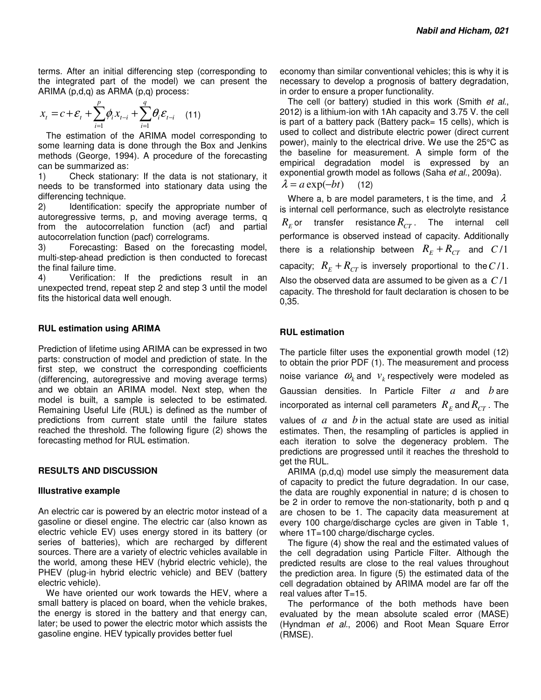terms. After an initial differencing step (corresponding to the integrated part of the model) we can present the ARIMA (p,d,q) as ARMA (p,q) process:

$$
x_{t} = c + \varepsilon_{t} + \sum_{i=1}^{p} \phi_{i} x_{t-i} + \sum_{i=1}^{q} \theta_{i} \varepsilon_{t-i} \quad (11)
$$

The estimation of the ARIMA model corresponding to some learning data is done through the Box and Jenkins methods (George, 1994). A procedure of the forecasting can be summarized as:

1) Check stationary: If the data is not stationary, it needs to be transformed into stationary data using the differencing technique.

2) Identification: specify the appropriate number of autoregressive terms, p, and moving average terms, q from the autocorrelation function (acf) and partial autocorrelation function (pacf) correlograms.

3) Forecasting: Based on the forecasting model, multi-step-ahead prediction is then conducted to forecast the final failure time.

4) Verification: If the predictions result in an unexpected trend, repeat step 2 and step 3 until the model fits the historical data well enough.

#### **RUL estimation using ARIMA**

Prediction of lifetime using ARIMA can be expressed in two parts: construction of model and prediction of state. In the first step, we construct the corresponding coefficients (differencing, autoregressive and moving average terms) and we obtain an ARIMA model. Next step, when the model is built, a sample is selected to be estimated. Remaining Useful Life (RUL) is defined as the number of predictions from current state until the failure states reached the threshold. The following figure (2) shows the forecasting method for RUL estimation.

## **RESULTS AND DISCUSSION**

#### **Illustrative example**

An electric car is powered by an electric motor instead of a gasoline or diesel engine. The electric car (also known as electric vehicle EV) uses energy stored in its battery (or series of batteries), which are recharged by different sources. There are a variety of electric vehicles available in the world, among these HEV (hybrid electric vehicle), the PHEV (plug-in hybrid electric vehicle) and BEV (battery electric vehicle).

We have oriented our work towards the HEV, where a small battery is placed on board, when the vehicle brakes, the energy is stored in the battery and that energy can, later; be used to power the electric motor which assists the gasoline engine. HEV typically provides better fuel

economy than similar conventional vehicles; this is why it is necessary to develop a prognosis of battery degradation, in order to ensure a proper functionality.

The cell (or battery) studied in this work (Smith *et al.*, 2012) is a lithium-ion with 1Ah capacity and 3.75 V. the cell is part of a battery pack (Battery pack= 15 cells), which is used to collect and distribute electric power (direct current power), mainly to the electrical drive. We use the 25°C as the baseline for measurement. A simple form of the empirical degradation model is expressed by an exponential growth model as follows (Saha *et al.*, 2009a).  $\lambda = a \exp(-bt)$  (12)

Where a, b are model parameters, t is the time, and  $\lambda$ is internal cell performance, such as electrolyte resistance  $R_{\rm\scriptscriptstyle E}$ or transfer resistance $R_{CT}$ . The internal cell performance is observed instead of capacity. Additionally there is a relationship between  $R_E + R_{CT}$  and  $C/1$ capacity;  $R_E + R_{CT}$  is inversely proportional to the  $C/1$ . Also the observed data are assumed to be given as a  $C/1$ capacity. The threshold for fault declaration is chosen to be 0,35.

#### **RUL estimation**

The particle filter uses the exponential growth model (12) to obtain the prior PDF (1). The measurement and process noise variance  $\omega_k$  and  $v_k$  respectively were modeled as Gaussian densities. In Particle Filter *a* and *b* are incorporated as internal cell parameters  $\ R_E$  and  $R_{CT}$  . The values of *a* and *b* in the actual state are used as initial estimates. Then, the resampling of particles is applied in each iteration to solve the degeneracy problem. The predictions are progressed until it reaches the threshold to get the RUL.

ARIMA (p,d,q) model use simply the measurement data of capacity to predict the future degradation. In our case, the data are roughly exponential in nature; d is chosen to be 2 in order to remove the non-stationarity, both p and q are chosen to be 1. The capacity data measurement at every 100 charge/discharge cycles are given in Table 1, where 1T=100 charge/discharge cycles.

The figure (4) show the real and the estimated values of the cell degradation using Particle Filter. Although the predicted results are close to the real values throughout the prediction area. In figure (5) the estimated data of the cell degradation obtained by ARIMA model are far off the real values after T=15.

The performance of the both methods have been evaluated by the mean absolute scaled error (MASE) (Hyndman *et al.*, 2006) and Root Mean Square Error (RMSE).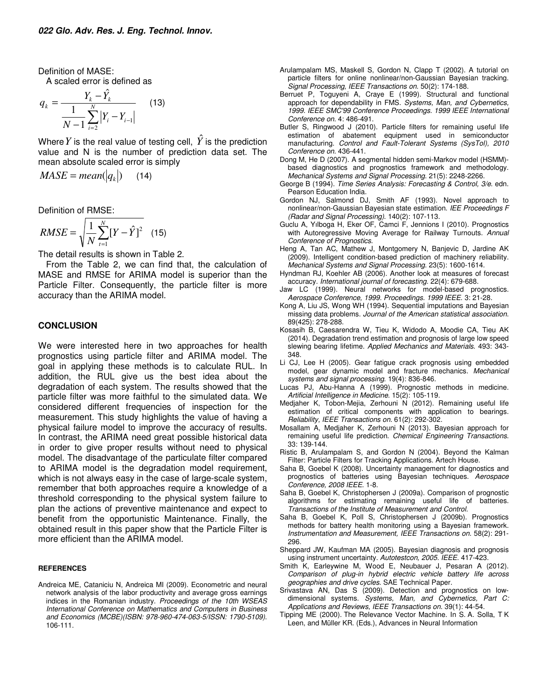Definition of MASE:

A scaled error is defined as

$$
q_{k} = \frac{Y_{k} - \hat{Y}_{k}}{\frac{1}{N - 1} \sum_{i=2}^{N} |Y_{i} - Y_{i-1}|}
$$
 (13)

Where  $Y$  is the real value of testing cell,  $\hat{Y}$  is the prediction value and N is the number of prediction data set. The mean absolute scaled error is simply

$$
MASE = mean(|q_k|) \qquad (14)
$$

Definition of RMSE:

$$
RMSE = \sqrt{\frac{1}{N} \sum_{t=1}^{N} [Y - \hat{Y}]^{2}}
$$
 (15)

The detail results is shown in Table 2.

From the Table 2, we can find that, the calculation of MASE and RMSE for ARIMA model is superior than the Particle Filter. Consequently, the particle filter is more accuracy than the ARIMA model.

#### **CONCLUSION**

We were interested here in two approaches for health prognostics using particle filter and ARIMA model. The goal in applying these methods is to calculate RUL. In addition, the RUL give us the best idea about the degradation of each system. The results showed that the particle filter was more faithful to the simulated data. We considered different frequencies of inspection for the measurement. This study highlights the value of having a physical failure model to improve the accuracy of results. In contrast, the ARIMA need great possible historical data in order to give proper results without need to physical model. The disadvantage of the particulate filter compared to ARIMA model is the degradation model requirement, which is not always easy in the case of large-scale system, remember that both approaches require a knowledge of a threshold corresponding to the physical system failure to plan the actions of preventive maintenance and expect to benefit from the opportunistic Maintenance. Finally, the obtained result in this paper show that the Particle Filter is more efficient than the ARIMA model.

#### **REFERENCES**

Andreica ME, Cataniciu N, Andreica MI (2009). Econometric and neural network analysis of the labor productivity and average gross earnings indices in the Romanian industry. *Proceedings of the 10th WSEAS International Conference on Mathematics and Computers in Business and Economics (MCBE)(ISBN: 978-960-474-063-5/ISSN: 1790-5109)*. 106-111.

- Arulampalam MS, Maskell S, Gordon N, Clapp T (2002). A tutorial on particle filters for online nonlinear/non-Gaussian Bayesian tracking. *Signal Processing, IEEE Transactions on*. 50(2): 174-188.
- Berruet P, Toguyeni A, Craye E (1999). Structural and functional approach for dependability in FMS. *Systems, Man, and Cybernetics, 1999. IEEE SMC'99 Conference Proceedings. 1999 IEEE International Conference on*. 4: 486-491.
- Butler S, Ringwood J (2010). Particle filters for remaining useful life estimation of abatement equipment used in semiconductor manufacturing. *Control and Fault-Tolerant Systems (SysTol), 2010 Conference on*. 436-441.
- Dong M, He D (2007). A segmental hidden semi-Markov model (HSMM) based diagnostics and prognostics framework and methodology. *Mechanical Systems and Signal Processing*. 21(5): 2248-2266.
- George B (1994). *Time Series Analysis: Forecasting & Control, 3/e*. edn. Pearson Education India.
- Gordon NJ, Salmond DJ, Smith AF (1993). Novel approach to nonlinear/non-Gaussian Bayesian state estimation. *IEE Proceedings F (Radar and Signal Processing)*. 140(2): 107-113.
- Guclu A, Yılboga H, Eker OF, Camci F, Jennions I (2010). Prognostics with Autoregressive Moving Average for Railway Turnouts. *Annual Conference of Prognostics*.
- Heng A, Tan AC, Mathew J, Montgomery N, Banjevic D, Jardine AK (2009). Intelligent condition-based prediction of machinery reliability. *Mechanical Systems and Signal Processing*. 23(5): 1600-1614.
- Hyndman RJ, Koehler AB (2006). Another look at measures of forecast accuracy. *International journal of forecasting*. 22(4): 679-688.
- Jaw LC (1999). Neural networks for model-based prognostics. *Aerospace Conference, 1999. Proceedings. 1999 IEEE*. 3: 21-28.
- Kong A, Liu JS, Wong WH (1994). Sequential imputations and Bayesian missing data problems. *Journal of the American statistical association*. 89(425): 278-288.
- Kosasih B, Caesarendra W, Tieu K, Widodo A, Moodie CA, Tieu AK (2014). Degradation trend estimation and prognosis of large low speed slewing bearing lifetime. *Applied Mechanics and Materials*. 493: 343- 348.
- Li CJ, Lee H (2005). Gear fatigue crack prognosis using embedded model, gear dynamic model and fracture mechanics. *Mechanical systems and signal processing*. 19(4): 836-846.
- Lucas PJ, Abu-Hanna A (1999). Prognostic methods in medicine. *Artificial Intelligence in Medicine*. 15(2): 105-119.
- Medjaher K, Tobon-Mejia, Zerhouni N (2012). Remaining useful life estimation of critical components with application to bearings. *Reliability, IEEE Transactions on*. 61(2): 292-302.
- Mosallam A, Medjaher K, Zerhouni N (2013). Bayesian approach for remaining useful life prediction. *Chemical Engineering Transactions*. 33: 139-144.
- Ristic B, Arulampalam S, and Gordon N (2004). Beyond the Kalman Filter: Particle Filters for Tracking Applications. Artech House.
- Saha B, Goebel K (2008). Uncertainty management for diagnostics and prognostics of batteries using Bayesian techniques. *Aerospace Conference, 2008 IEEE*. 1-8.
- Saha B, Goebel K, Christophersen J (2009a). Comparison of prognostic algorithms for estimating remaining useful life of batteries. *Transactions of the Institute of Measurement and Control*.
- Saha B, Goebel K, Poll S, Christophersen J (2009b). Prognostics methods for battery health monitoring using a Bayesian framework. *Instrumentation and Measurement, IEEE Transactions on*. 58(2): 291- 296.
- Sheppard JW, Kaufman MA (2005). Bayesian diagnosis and prognosis using instrument uncertainty. *Autotestcon, 2005. IEEE*. 417-423.
- Smith K, Earleywine M, Wood E, Neubauer J, Pesaran A (2012). *Comparison of plug-in hybrid electric vehicle battery life across geographies and drive cycles*. SAE Technical Paper.
- Srivastava AN, Das S (2009). Detection and prognostics on lowdimensional systems. *Systems, Man, and Cybernetics, Part C: Applications and Reviews, IEEE Transactions on*. 39(1): 44-54.
- Tipping ME (2000). The Relevance Vector Machine. In S. A. Solla, T K Leen, and Müller KR. (Eds.), Advances in Neural Information